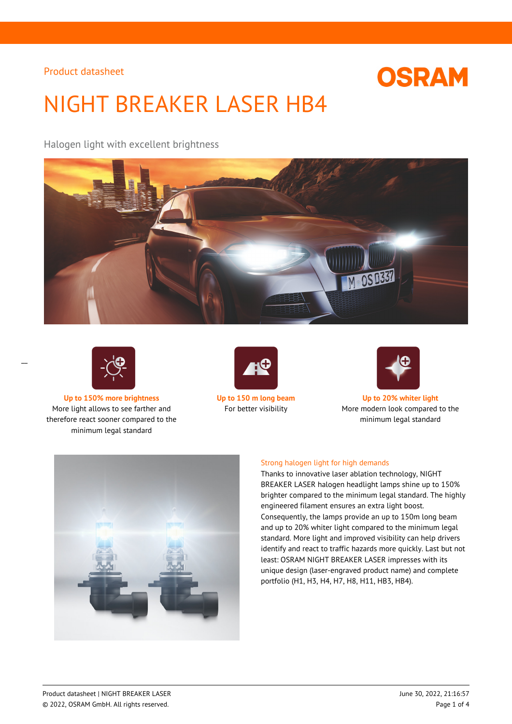# **OSRAM**

# NIGHT BREAKER LASER HB4

Halogen light with excellent brightness





 $\overline{a}$ 

**Up to 150% more brightness Up to 150 m long beam Up to 20% whiter light** More light allows to see farther and therefore react sooner compared to the minimum legal standard





For better visibility More modern look compared to the minimum legal standard



## Strong halogen light for high demands

Thanks to innovative laser ablation technology, NIGHT BREAKER LASER halogen headlight lamps shine up to 150% brighter compared to the minimum legal standard. The highly engineered filament ensures an extra light boost. Consequently, the lamps provide an up to 150m long beam and up to 20% whiter light compared to the minimum legal standard. More light and improved visibility can help drivers identify and react to traffic hazards more quickly. Last but not least: OSRAM NIGHT BREAKER LASER impresses with its unique design (laser-engraved product name) and complete portfolio (H1, H3, H4, H7, H8, H11, HB3, HB4).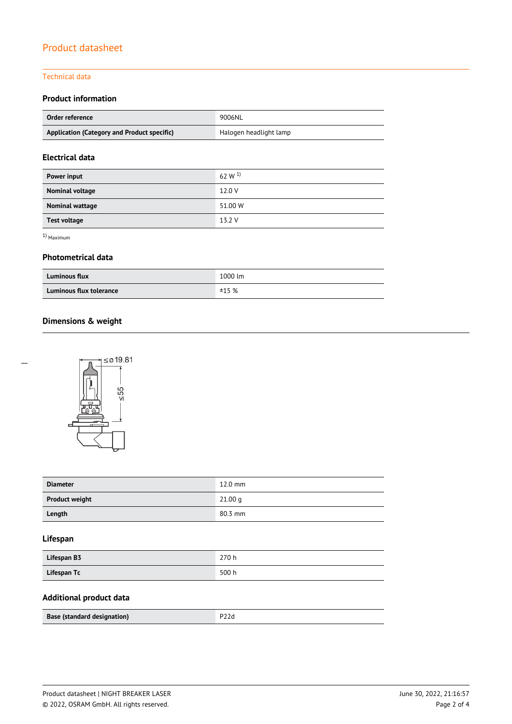### Technical data

## **Product information**

| Order reference                             | 9006NL                 |  |
|---------------------------------------------|------------------------|--|
| Application (Category and Product specific) | Halogen headlight lamp |  |

## **Electrical data**

| Power input         | 62 W $^{1}$ |
|---------------------|-------------|
| Nominal voltage     | 12.0 V      |
| Nominal wattage     | 51.00 W     |
| <b>Test voltage</b> | 13.2 V      |

1) Maximum

 $\overline{a}$ 

## **Photometrical data**

| <b>Luminous flux</b>    | 1000 lm |
|-------------------------|---------|
| Luminous flux tolerance | ±15%    |

# **Dimensions & weight**



| <b>Diameter</b>       | $12.0$ mm |
|-----------------------|-----------|
| <b>Product weight</b> | 21.00 g   |
| Length                | 80.3 mm   |

## **Lifespan**

| Lifespan B3 | 270 h |
|-------------|-------|
| Lifespan Tc | 500 h |

## **Additional product data**

| <b>Base (standard designation)</b> |  |
|------------------------------------|--|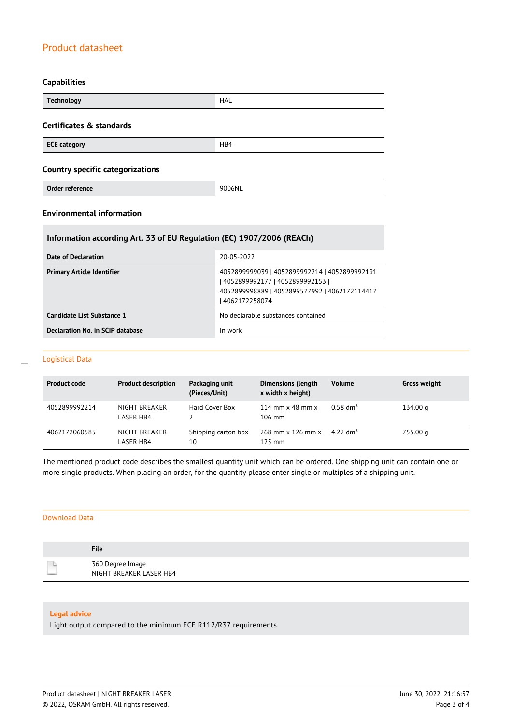## **Capabilities**

| <b>Technology</b>                       | HAL    |  |
|-----------------------------------------|--------|--|
| Certificates & standards                |        |  |
| <b>ECE category</b>                     | HB4    |  |
| <b>Country specific categorizations</b> |        |  |
| Order reference                         | 9006NL |  |

## **Environmental information**

## **Information according Art. 33 of EU Regulation (EC) 1907/2006 (REACh)**

| Date of Declaration               | 20-05-2022                                                                                                                                       |
|-----------------------------------|--------------------------------------------------------------------------------------------------------------------------------------------------|
| <b>Primary Article Identifier</b> | 4052899999039   4052899992214   4052899992191<br>  4052899992177   4052899992153  <br>40528999988891405289957799214062172114417<br>4062172258074 |
| Candidate List Substance 1        | No declarable substances contained                                                                                                               |
| Declaration No. in SCIP database  | In work                                                                                                                                          |

#### Logistical Data

| <b>Product code</b> | <b>Product description</b> | Packaging unit<br>(Pieces/Unit) | <b>Dimensions (length</b><br>x width x height)     | <b>Volume</b>        | <b>Gross weight</b> |
|---------------------|----------------------------|---------------------------------|----------------------------------------------------|----------------------|---------------------|
| 4052899992214       | NIGHT BREAKER<br>LASER HB4 | Hard Cover Box                  | 114 mm $\times$ 48 mm $\times$<br>$106 \text{ mm}$ | $0.58 \text{ dm}^3$  | 134.00 g            |
| 4062172060585       | NIGHT BREAKER<br>LASER HB4 | Shipping carton box<br>10       | 268 mm x 126 mm x<br>$125$ mm                      | 4.22 dm <sup>3</sup> | 755.00 g            |

The mentioned product code describes the smallest quantity unit which can be ordered. One shipping unit can contain one or more single products. When placing an order, for the quantity please enter single or multiples of a shipping unit.

#### Download Data

| <b>File</b>                                 |
|---------------------------------------------|
| 360 Degree Image<br>NIGHT BREAKER LASER HB4 |

#### **Legal advice**

Light output compared to the minimum ECE R112/R37 requirements